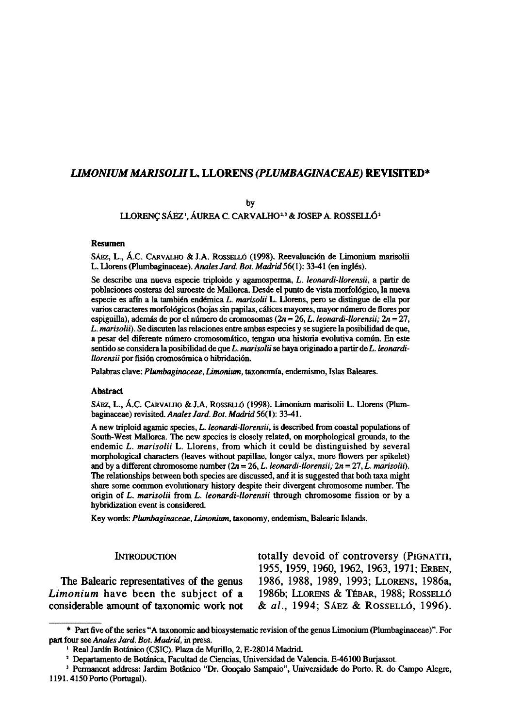# *LIMONIUM MARISOLII* **L. LLORENS** *(PLUMBAGINACEAE)* **REVISITED\***

by

LLORENÇ SÁEZ', ÁUREA C. CARVALHO<sup>23</sup> & JOSEP A. ROSSELLÓ<sup>2</sup>

## Resumen

SÁEZ, L., Á.C. CARVALHO & J.A. ROSSELLÓ (1998). Reevaluación de Limonium marisolii L. Llorens (Plumbaginaceae). *Anales Jard. Bot. Madrid* 56(1): 33-41 (en inglés).

Se describe una nueva especie triploide y agamosperma, *L. leonardi-llorensii,* a partir de poblaciones costeras del suroeste de Mallorca. Desde el punto de vista morfológico, la nueva especie es afín a la también endémica *L. marisolii* L. Llorens, pero se distingue de ella por varios caracteres morfológicos (hojas sin papilas, cálices mayores, mayor número de flores por espiguilla), además de por el número de cromosomas ( $2n = 26$ , L. leonardi-llorensii;  $2n = 27$ , *L. marisolii).* Se discuten las relaciones entre ambas especies y se sugiere la posibilidad de que, a pesar del diferente número cromosomático, tengan una historia evolutiva común. En este sentido se considera la posibilidad de que *L. marisolii* se haya originado a partir de *L. leonardillorensii* por fisión cromosómica o hibridación.

Palabras clave: *Plumbaginaceae, Limonium,* taxonomía, endemismo, Islas Baleares.

#### Abstract

SÁEZ, L., Á.C. CARVALHO & J.A. ROSSELLÓ (1998). Limonium marisolii L. Llorens (Plumbaginaceae) revisited. *Anales Jard. Bot. Madrid* 56(1): 33-41.

A new triploid agamic species, *L. leonardi-llorensii,* is described from coastal populations of South-West Mallorca. The new species is closely related, on morphological grounds, to the endemic *L. marisolii* L. Llorens, from which it could be distinguished by several morphological characters (leaves without papillae, longer calyx, more flowers per spikelet) and by a different chromosome number (2n = 26, *L. leonardi-llorensii; 2n* = 27, *L. marisolii).*  The relationships between both species are discussed, and it is suggested that both taxa might share some common evolutionary history despite their divergent chromosome number. The origin of *L. marisolii* from *L. leonardi-llorensii* through chromosome fission or by a hybridization event is considered.

Key words: *Plumbaginaceae, Limonium,* taxonomy, endemism, Balearic Islands.

*Limonium* have been the subject of a considerable amount of taxonomic work not

INTRODUCTION totally devoid of controversy (PIGNATTI, 1955, 1959, 1960, 1962, 1963,1971; ERBEN, The Balearic representatives of the genus 1986, 1988, 1989, 1993; LLORENS, 1986a, Theorical and The subject of a 1986b: LLORENS & TEBAR, 1988: ROSSELLO considerable amount of taxonomic work not & *al.,* 1994; SÁEZ & ROSSELLÓ, 1996).

<sup>\*</sup> Part five of the series "A taxonomic and biosystematic revisión of the genus Limonium (Plumbaginaceae)". For part four see *Anales Jard. Bot. Madrid,* in press.

<sup>&</sup>lt;sup>1</sup> Real Jardín Botánico (CSIC). Plaza de Murillo, 2. E-28014 Madrid.

<sup>2</sup> Departamento de Botánica, Facultad de Ciencias, Universidad de Valencia. E-46100 Burjassot.

<sup>3</sup> Permanent address: Jardim Botánico "Dr. Goncalo Sampaio", Universidade do Porto. R. do Campo Alegre, 1191.4150 Porto (Portugal).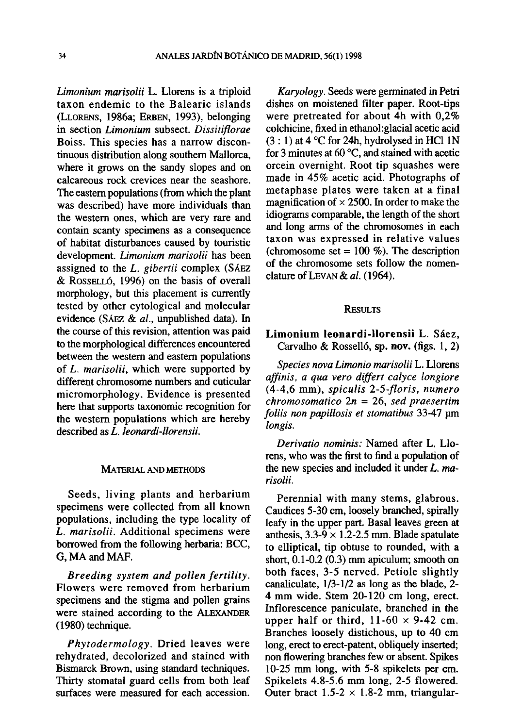*Limonium marisolii* L. Llorens is a triploid taxon endemic to the Baleario islands (LLORENS, 1986a; ERBEN, 1993), belonging in section *Limonium* subsect. *Dissitiflorae*  Boiss. This species has a narrow discontinuous distribution along southern Mallorca, where it grows on the sandy slopes and on calcareous rock crevices near the seashore. The eastern populations (from which the plant was described) have more individuals than the western ones, which are very rare and contain scanty specimens as a consequence of habitat disturbances caused by touristic development. *Limonium marisolii* has been assigned to the *L. gibertii* complex (SÁEZ & ROSSELLÓ, 1996) on the basis of overall morphology, but this placement is currently tested by other cytological and molecular evidence (SÁEZ & *al.,* unpublished data). In the course of this revision, attention was paid to the morphological differences encountered between the western and eastern populations of *L. marisolii,* which were supported by different chromosome numbers and cuticular micromorphology. Evidence is presented here that supports taxonomic recognition for the western populations which are hereby described as *L. leonardi-llorensii.* 

## MATERIAL AND METHODS

Seeds, living plants and herbarium specimens were collected from all known populations, including the type locality of *L. marisolii.* Additional specimens were borrowed from the following herbaria: BCC, G. MA and MAF.

*Breeding system and pollen fertility.*  Flowers were removed from herbarium specimens and the stigma and pollen grains were stained according to the ALEXANDER (1980) technique.

*Phytodermology.* Dried leaves were rehydrated, decolorized and stained with Bismarck Brown, using standard techniques. Thirty stomatal guard cells from both leaf surfaces were measured for each accession.

*Karyology.* Seeds were germinated in Petri dishes on moistened filter paper. Root-tips were pretreated for about 4h with 0,2% colchicine, fixed in ethanol: glacial acetic acid  $(3:1)$  at  $4^{\circ}$ C for 24h, hydrolysed in HCl 1N for 3 minutes at 60 °C, and stained with acetic orcein overnight. Root tip squashes were made in 45% acetic acid. Photographs of metaphase plates were taken at a final magnification of  $\times$  2500. In order to make the idiograms comparable, the length of the short and long arms of the chromosomes in each taxon was expressed in relative values (chromosome set  $= 100 %$ ). The description of the chromosome sets follow the nomenclature of LEVAN & *al.* (1964).

# **RESULTS**

# Limonium leonardi-llorensii L. Sáez, Carvalho & Rosselló, sp. nov. (figs. 1, 2)

*Species nova Limonio marisolii* L. Llorens *affinis, a qua vero differt calyce longiore*  (4-4,6 mm), *spiculis 2-5-floris, numero chromosomatico In* = 26, *sed praesertim foliis non papillosis et stomatibus* 33-47 um *longis.* 

*Derivatio nominis:* Named after L. Llorens, who was the first to find a population of the new species and included it under *L. marisolii.* 

Perennial with many stems, glabrous. Caudices 5-30 cm, loosely branched, spirally leafy in the upper part. Basal leaves green at anthesis,  $3.3-\overline{9} \times 1.2-2.5$  mm. Blade spatulate to elliptical, tip obtuse to rounded, with a short,  $0.1$ -0.2 ( $0.3$ ) mm apiculum; smooth on both faces, 3-5 nerved. Petiole slightly canaliculate, 1/3-1/2 as long as the blade, 2- 4 mm wide. Stem 20-120 cm long, erect. Inflorescence paniculate, branched in the upper half or third,  $11-60 \times 9-42$  cm. Branches loosely distichous, up to 40 cm long, erect to erect-patent, obliquely inserted; non flowering branches few or absent. Spikes 10-25 mm long, with 5-8 spikelets per cm. Spikelets 4.8-5.6 mm long, 2-5 flowered. Outer bract  $1.5-2 \times 1.8-2$  mm, triangular-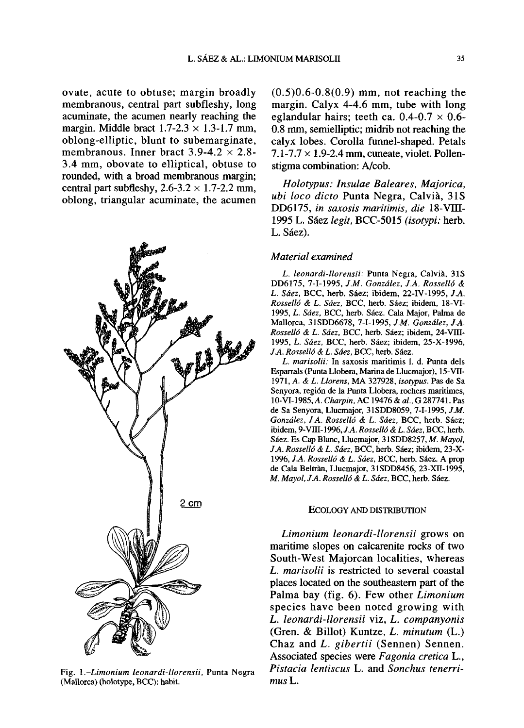ovate, acute to obtuse; margin broadly membranous, central part subfleshy, long acuminate, the acumen nearly reaching the margin. Middle bract  $1.7 - 2.3 \times 1.3 - 1.7$  mm. oblong-elliptic, blunt to subemarginate, membranous. Inner bract  $3.9-4.2 \times 2.8$ -3.4 mm, obovate to elliptical, obtuse to rounded, with a broad membranous margin; central part subfleshy,  $2.6 - 3.2 \times 1.7 - 2.2$  mm, oblong, triangular acuminate, the acumen



Fig. *1.-Limonium leonardi-llorensii,* Punta Negra (Mallorca) (holotype, BCC): habit.

(0.5)0.6-0.8(0.9) mm, not reaching the margin. Calyx 4-4.6 mm, tube with long eglandular hairs; teeth ca.  $0.4$ - $0.7 \times 0.6$ -0.8 mm, semielliptic; midrib not reaching the calyx lobes. Corolla funnel-shaped. Petáis  $7.1 - 7.7 \times 1.9 - 2.4$  mm, cuneate, violet. Pollenstigma combination: A/cob.

*Holotypus: Insulae Baleares, Majorica, ubi loco dicto* Punta Negra, Calviá, 31S DD6175, *in saxosis maritimis, die* 18-VIII-1995 L. Sáez *legit,* BCC-5015 *(isotypi:* herb. L. Sáez).

# *Material examined*

*L. leonardi-llorensii:* Punta Negra, Calviá, 31S DD6175, 7-1-1995, *J.M. González, JA. Rosselló & L. Sáez,* BCC, herb. Sáez; ibidem, 22-IV-1995, *JA. Rosselló & L. Sáez,* BCC, herb. Sáez; ibidem, 18-VI-1995, *L. Sáez,* BCC, herb. Sáez. Cala Major, Palma de Mallorca, 31SDD6678, 7-1-1995, *J.M. González, JA. Rosselló & L. Sáez,* BCC, herb. Sáez; ibidem, 24-Vni-1995, *L. Sáez,* BCC, herb. Sáez; ibidem, 25-X-1996, *JA. Rosselló & L. Sáez,* BCC, herb. Sáez.

*L. marisolii:* In saxosis maritimis 1. d. Punta deis Esparrals (Punta Llobera, Marina de Llucmajor), 15-VÜ-1971, *A. & L. Llorens,* MA 327928, *isotypus.* Pas de Sa Senyora, región de la Punta Llobera, rochers maritimes, 10-VI-1985,/1. *Charpin,* AC 19476 & *al,* G 287741. Pas de Sa Senyora, Llucmajor, 31SDD8059, 7-1-1995, *J.M. González, JA. Rosselló & L. Sáez,* BCC, herb. Sáez; ibidem, 9-Vni-1996,/A *Rosselló & L. Sáez,* BCC, herb. Sáez. Es Cap Blanc, Llucmajor, 31SDD8257, *M. Mayol, JA. Rosselló & L. Sáez,* BCC, herb. Sáez; ibidem, 23-X-1996, *JA. Rosselló & L. Sáez,* BCC, herb. Sáez. A prop de Cala Beltràn, Llucmajor, 31SDD8456, 23-XII-1995, *M. Mayol, JA. Rosselló & L. Sáez,* BCC, herb. Sáez.

### ECOLOGY AND DISTRIBUTION

*Limonium leonardi-llorensii* grows on maritime slopes on calcarenite rocks of two South-West Majorcan localities, whereas *L. marisolii* is restricted to several coastal places located on the southeastern part of the Palma bay (fig. 6). Few other *Limonium*  species have been noted growing with *L. leonardi-llorensii* viz, *L. companyonis*  (Gren. & Billot) Kuntze, *L. minutum* (L.) Chaz and *L. gibertii* (Sennen) Sennen. Associated species were *Fagonia cretica* L., *Pistacia lentiscus* L. and *Sonchus tenerri*mus **L**.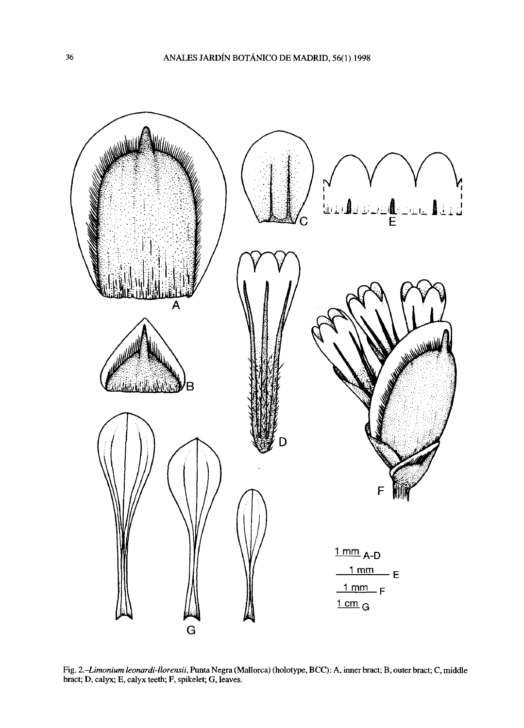

Fig. *2.-Limonium leonardi-llorensii,* Punta Negra (Mallorca) (holotype, BCC): A, inner bract; B, outer bract; C, middle bract; D, calyx; E, calyx teeth; F, spikelet; G, leaves.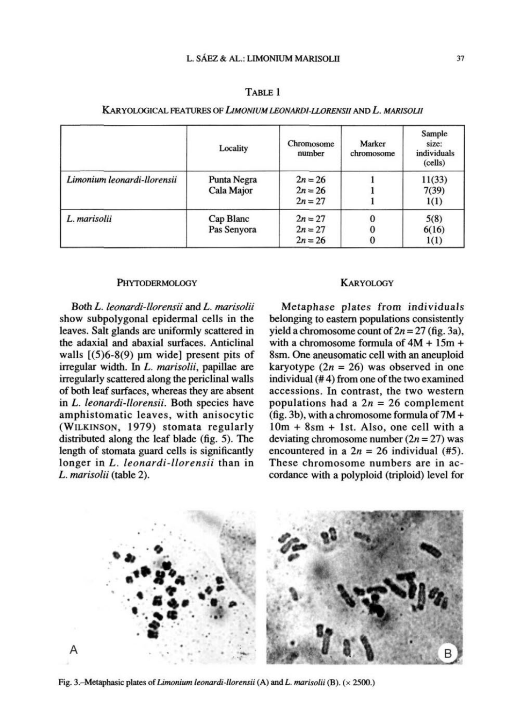| TABLE 1 |  |
|---------|--|
|         |  |

|                             | Locality                  | Chromosome<br>number                | Marker<br>chromosome | Sample<br>size:<br>individuals<br>(cells) |
|-----------------------------|---------------------------|-------------------------------------|----------------------|-------------------------------------------|
| Limonium leonardi-llorensii | Punta Negra<br>Cala Major | $2n = 26$<br>$2n = 26$<br>$2n = 27$ |                      | 11(33)<br>7(39)<br>1(1)                   |
| L. marisolii                | Cap Blanc<br>Pas Senyora  | $2n = 27$<br>$2n = 27$<br>$2n = 26$ |                      | 5(8)<br>6(16)<br>1(1)                     |

# KARYOLOGICAL FEATURES OF *LIMONIUM LEONARDI-LLORENSII* AND *L. MARISOLII*

#### **PHYTODERMOLOGY**

Both *L. leonardi-llorensii* and *L. marisolii*  show subpolygonal epidermal cells in the leaves. Salt glands are uniformly scattered in the adaxial and abaxial surfaces. Anticlinal walls  $[(5)6-8(9)$  µm wide] present pits of irregular width. In *L. marisolii,* papillae are irregularly scattered along the periclinal walls of both leaf surfaces, whereas they are absent in *L. leonardi-llorensii.* Both species have amphistomatic leaves, with anisocytic (WILKINSON, 1979) stomata regularly distributed along the leaf blade (fig. 5). The length of stomata guard cells is significantly longer in *L. leonardi-llorensii* than in *L. marisolii* (table 2).

## **KARYOLOGY**

Metaphase plates from individuals belonging to eastern populations consistently yield a chromosome count of  $2n = 27$  (fig. 3a), with a chromosome formula of 4M + 15m + 8sm. One aneusomatic cell with an aneuploid karyotype  $(2n = 26)$  was observed in one individual (# 4) from one of the two examined accessions. In contrast, the two western populations had a  $2n = 26$  complement (fig. 3b), with a chromosome formula of  $7M +$ lOm + 8sm + lst. Also, one cell with a deviating chromosome number  $(2n = 27)$  was encountered in a  $2n = 26$  individual (#5). These chromosome numbers are in accordance with a polyploid (triploid) level for



Fig. 3.-Metaphasic plates of *Limonium leonardi-llorensii* (A) and *L. marisolii* (B). (x 2500.)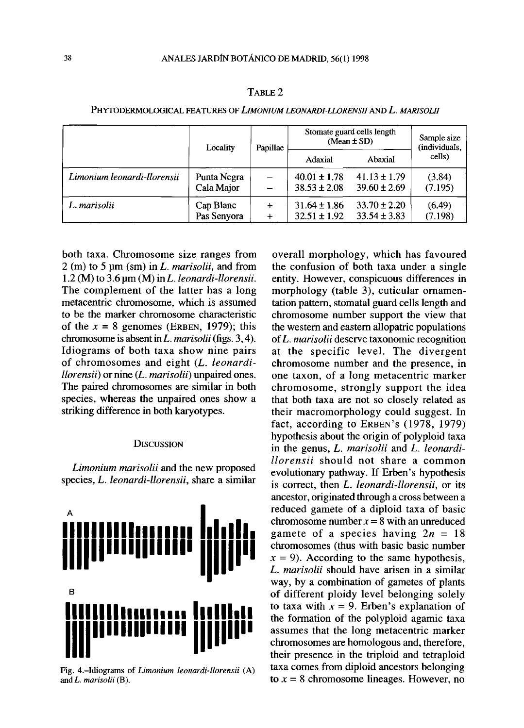|                             | Locality                  | Papillae               | Stomate guard cells length<br>$(Mean \pm SD)$ |                                      | Sample size<br>(individuals, |
|-----------------------------|---------------------------|------------------------|-----------------------------------------------|--------------------------------------|------------------------------|
|                             |                           |                        | Adaxial                                       | Abaxial                              | cells)                       |
| Limonium leonardi-llorensii | Punta Negra<br>Cala Major |                        | $40.01 \pm 1.78$<br>$38.53 \pm 2.08$          | $41.13 \pm 1.79$<br>$39.60 \pm 2.69$ | (3.84)<br>(7.195)            |
| L. marisolii                | Cap Blanc<br>Pas Senyora  | $\ddot{}$<br>$\ddot{}$ | $31.64 \pm 1.86$<br>$32.51 \pm 1.92$          | $33.70 \pm 2.20$<br>$33.54 \pm 3.83$ | (6.49)<br>(7.198)            |

TABLE 2

PHYTODERMOLOGICAL FEATURES OF *LIMONIUM LEONARDI-LLORENSII* AND *L. MARISOLII* 

both taxa. Chromosome size ranges from 2 (m) to 5 pm (sm) in *L. marisolii,* and from 1.2 (M) to 3.6 um (M) inL. *leonardi-llorensii.*  The complement of the latter has a long metacentric chromosome, which is assumed to be the marker chromosome characteristic of the  $x = 8$  genomes (ERBEN, 1979); this chromosome is absent in *L. marisolii* (figs. 3,4). Idiograms of both taxa show nine pairs of chromosomes and eight *(L. leonardillorensii*) or nine (*L. marisolii*) unpaired ones. The paired chromosomes are similar in both species, whereas the unpaired ones show a striking difference in both karyotypes.

## **DISCUSSION**

*Limonium marisolii* and the new proposed species, *L. leonardi-llorensii,* share a similar



Fig. 4.-Idiograms of *Limonium leonardi-llorensii* (A) and *L. marisolii* (B).

overall morphology, which has favoured the confusión of both taxa under a single entity. However, conspicuous differences in morphology (table 3), cuticular ornamentation pattern, stomatal guard cells length and chromosome number support the view that the western and eastern allopatric populations of *L. marisolii* deserve taxonomic recognition at the specific level. The divergent chromosome number and the presence, in one taxon, of a long metacentric marker chromosome, strongly support the idea that both taxa are not so closely related as their macromorphology could suggest. In fact, according to ERBEN'S (1978, 1979) hypothesis about the origin of polyploid taxa in the genus, *L. marisolii* and *L. leonardillorensii* should not share a common evolutionary pathway. If Erben's hypothesis is correct, then *L. leonardi-llorensii,* or its ancestor, originated through a cross between a reduced gamete of a diploid taxa of basic chromosome number  $x = 8$  with an unreduced gamete of a species having *2n =* 18 chromosomes (thus with basic basic number  $x = 9$ ). According to the same hypothesis, *L. marisolii* should have arisen in a similar way, by a combination of gametes of plants of different ploidy level belonging solely to taxa with  $x = 9$ . Erben's explanation of the formation of the polyploid agamic taxa assumes that the long metacentric marker chromosomes are homologous and, therefore, their presence in the triploid and tetraploid taxa comes from diploid ancestors belonging to  $x = 8$  chromosome lineages. However, no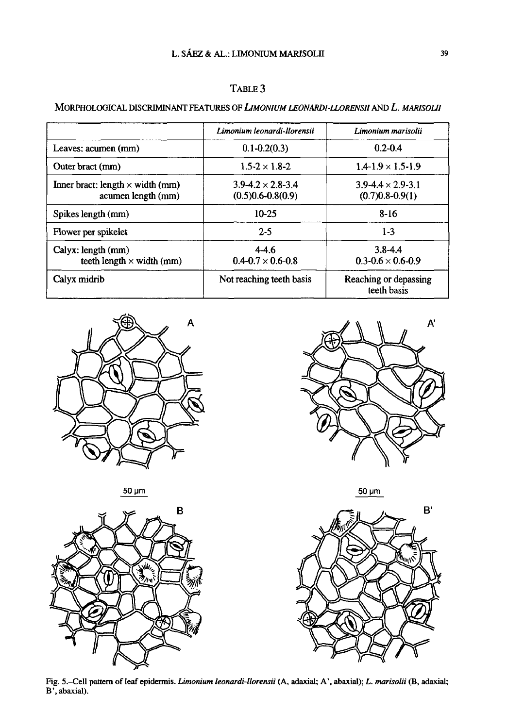# TABLE 3

# MORPHOLOGICAL DISCRIMINANT FEATURES OF *LIMONIUM LEONARDI-LLORENSII* AND *L. MARISOLII*

|                                                               | Limonium leonardi-llorensii                           | Limonium marisolii                                  |  |
|---------------------------------------------------------------|-------------------------------------------------------|-----------------------------------------------------|--|
| Leaves: acumen (mm)                                           | $0.1 - 0.2(0.3)$                                      | $0.2 - 0.4$                                         |  |
| Outer bract (mm)                                              | $1.5 - 2 \times 1.8 - 2$                              | $1.4 - 1.9 \times 1.5 - 1.9$                        |  |
| Inner bract: length $\times$ width (mm)<br>acumen length (mm) | $3.9 - 4.2 \times 2.8 - 3.4$<br>$(0.5)0.6 - 0.8(0.9)$ | $3.9 - 4.4 \times 2.9 - 3.1$<br>$(0.7)0.8 - 0.9(1)$ |  |
| Spikes length (mm)                                            | $10 - 25$                                             | $8 - 16$                                            |  |
| Flower per spikelet                                           | $2 - 5$                                               | $1-3$                                               |  |
| Calyx: length (mm)<br>teeth length $\times$ width (mm)        | $4-4.6$<br>$0.4 - 0.7 \times 0.6 - 0.8$               | $3.8 - 4.4$<br>$0.3 - 0.6 \times 0.6 - 0.9$         |  |
| Calyx midrib                                                  | Not reaching teeth basis                              | Reaching or depassing<br>teeth basis                |  |





 $50 \mu m$ 





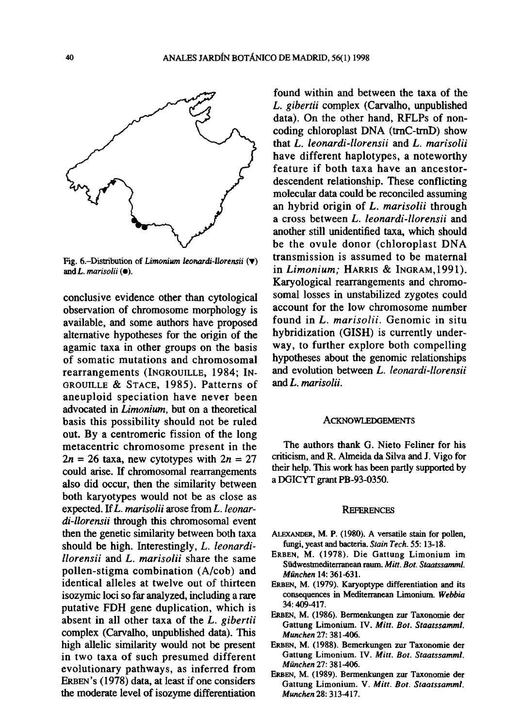

Fíg. 6.-Distributíon of *Limonium leonardi-llorensii* (Y) and *L. marisolii* ( $\bullet$ ).

conclusive evidence other than cytological observation of chromosome morphology is available, and some authors have proposed altemative hypotheses for the origin of the agamic taxa in other groups on the basis of somatic mutations and chromosomal rearrangements (INGROUILLE, 1984; IN-GROUILLE & STACE, 1985). Patterns of aneuploid speciation have never been advocated in *Limonium,* but on a theoretical basis this possibility should not be ruled out. By a centromeric fission of the long metacentric chromosome present in the  $2n = 26$  taxa, new cytotypes with  $2n = 27$ could arise. If chromosomal rearrangements also did occur, then the similarity between both karyotypes would not be as close as expected. If *L. marisolii* aróse from *L. leonardi-llorensii* through this chromosomal event then the genetic similarity between both taxa should be high. Interestingly, *L. leonardillorensii* and *L. marisolii* share the same pollen-stigma combination (A/cob) and identical alleles at twelve out of thirteen isozymic loci so far analyzed, including a rare putative FDH gene duplication, which is absent in all other taxa of the *L. gibertii*  complex (Carvalho, unpublished data). This high allelic similarity would not be present in two taxa of such presumed different evolutionary pathways, as inferred from ERBEN'S (1978) data, at least if one considers the modérate level of isozyme differentiation

found within and between the taxa of the *L. gibertii* complex (Carvalho, unpublished data). On the other hand, RFLPs of noncoding chloroplast DNA (trnC-trnD) show that *L. leonardi-llorensii* and *L. marisolii*  have different haplotypes, a noteworthy feature if both taxa have an ancestordescendent relationship. These conflicting molecular data could be reconciled assuming an hybrid origin of *L. marisolii* through a cross between *L. leonardi-llorensii* and another still unidentified taxa, which should be the ovule donor (chloroplast DNA transmission is assumed to be maternal in *Limonium;* HARRIS & INGRAM,1991). Karyological rearrangements and chromosomal losses in unstabilized zygotes could account for the low chromosome number found in *L. marisolii.* Genomic in situ hybridization (GISH) is currently underway, to further explore both compelling hypotheses about the genomic relationships and evolution between *L. leonardi-llorensii*  and *L. marisolii.* 

#### ACKNOWLEDGEMENTS

The authors thank G. Nieto Feliner for his criticism, and R. Almeida da Silva and J. Vigo for their help. This work has been partly supported by a DGICYT grant PB-93-0350.

#### **REFERENCES**

- ALEXANDER, M. P. (1980). A versatile stain for pollen, fungi, yeast and bacteria. *Stain Tech.* 55:13-18.
- ERBEN, M. (1978). Die Gattung Limonium im Südwestmediterranean raum. *Mitt. Bot. Staatssamml. München* 14:361-631.
- ERBEN, M. (1979). Karyoptype differentiation and its consequences in Mediterranean Limonium. *Webbia*  34:409-417.
- ERBEN, M. (1986). Bermenkungen zur Taxonomie der Gattung Limonium. IV. *Mitt. Bot. Staatssamml. Munchen* 27: 381-406.
- ERBEN, M. (1988). Bemerkungen zur Taxonomie der Gattung Limonium. IV. *Mitt. Bot. Staatssamml. München* 27:381-406.
- ERBEN, M. (1989). Bermenkungen zur Taxonomie der Gattung Limonium. V. *Mitt. Bot. Staatssamml. Munchen* 28:313-417.